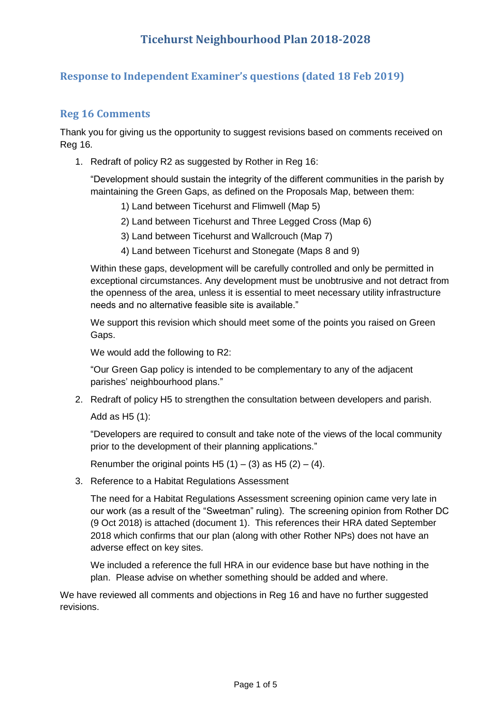## **Response to Independent Examiner's questions (dated 18 Feb 2019)**

### **Reg 16 Comments**

Thank you for giving us the opportunity to suggest revisions based on comments received on Reg 16.

1. Redraft of policy R2 as suggested by Rother in Reg 16:

"Development should sustain the integrity of the different communities in the parish by maintaining the Green Gaps, as defined on the Proposals Map, between them:

- 1) Land between Ticehurst and Flimwell (Map 5)
- 2) Land between Ticehurst and Three Legged Cross (Map 6)
- 3) Land between Ticehurst and Wallcrouch (Map 7)
- 4) Land between Ticehurst and Stonegate (Maps 8 and 9)

Within these gaps, development will be carefully controlled and only be permitted in exceptional circumstances. Any development must be unobtrusive and not detract from the openness of the area, unless it is essential to meet necessary utility infrastructure needs and no alternative feasible site is available."

We support this revision which should meet some of the points you raised on Green Gaps.

We would add the following to R2:

"Our Green Gap policy is intended to be complementary to any of the adjacent parishes' neighbourhood plans."

2. Redraft of policy H5 to strengthen the consultation between developers and parish.

Add as H5 (1):

"Developers are required to consult and take note of the views of the local community prior to the development of their planning applications."

Renumber the original points H5  $(1) - (3)$  as H5  $(2) - (4)$ .

3. Reference to a Habitat Regulations Assessment

The need for a Habitat Regulations Assessment screening opinion came very late in our work (as a result of the "Sweetman" ruling). The screening opinion from Rother DC (9 Oct 2018) is attached (document 1). This references their HRA dated September 2018 which confirms that our plan (along with other Rother NPs) does not have an adverse effect on key sites.

We included a reference the full HRA in our evidence base but have nothing in the plan. Please advise on whether something should be added and where.

We have reviewed all comments and objections in Reg 16 and have no further suggested revisions.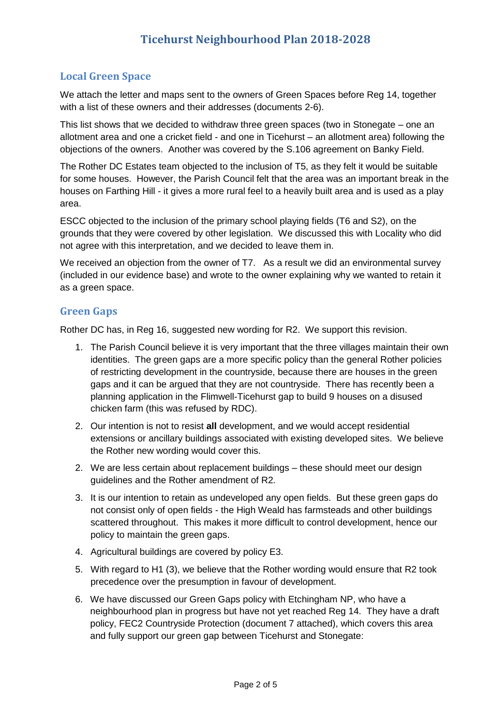## **Local Green Space**

We attach the letter and maps sent to the owners of Green Spaces before Reg 14, together with a list of these owners and their addresses (documents 2-6).

This list shows that we decided to withdraw three green spaces (two in Stonegate – one an allotment area and one a cricket field - and one in Ticehurst – an allotment area) following the objections of the owners. Another was covered by the S.106 agreement on Banky Field.

The Rother DC Estates team objected to the inclusion of T5, as they felt it would be suitable for some houses. However, the Parish Council felt that the area was an important break in the houses on Farthing Hill - it gives a more rural feel to a heavily built area and is used as a play area.

ESCC objected to the inclusion of the primary school playing fields (T6 and S2), on the grounds that they were covered by other legislation. We discussed this with Locality who did not agree with this interpretation, and we decided to leave them in.

We received an objection from the owner of T7. As a result we did an environmental survey (included in our evidence base) and wrote to the owner explaining why we wanted to retain it as a green space.

#### **Green Gaps**

Rother DC has, in Reg 16, suggested new wording for R2. We support this revision.

- 1. The Parish Council believe it is very important that the three villages maintain their own identities. The green gaps are a more specific policy than the general Rother policies of restricting development in the countryside, because there are houses in the green gaps and it can be argued that they are not countryside. There has recently been a planning application in the Flimwell-Ticehurst gap to build 9 houses on a disused chicken farm (this was refused by RDC).
- 2. Our intention is not to resist **all** development, and we would accept residential extensions or ancillary buildings associated with existing developed sites. We believe the Rother new wording would cover this.
- 2. We are less certain about replacement buildings these should meet our design guidelines and the Rother amendment of R2.
- 3. It is our intention to retain as undeveloped any open fields. But these green gaps do not consist only of open fields - the High Weald has farmsteads and other buildings scattered throughout. This makes it more difficult to control development, hence our policy to maintain the green gaps.
- 4. Agricultural buildings are covered by policy E3.
- 5. With regard to H1 (3), we believe that the Rother wording would ensure that R2 took precedence over the presumption in favour of development.
- 6. We have discussed our Green Gaps policy with Etchingham NP, who have a neighbourhood plan in progress but have not yet reached Reg 14. They have a draft policy, FEC2 Countryside Protection (document 7 attached), which covers this area and fully support our green gap between Ticehurst and Stonegate: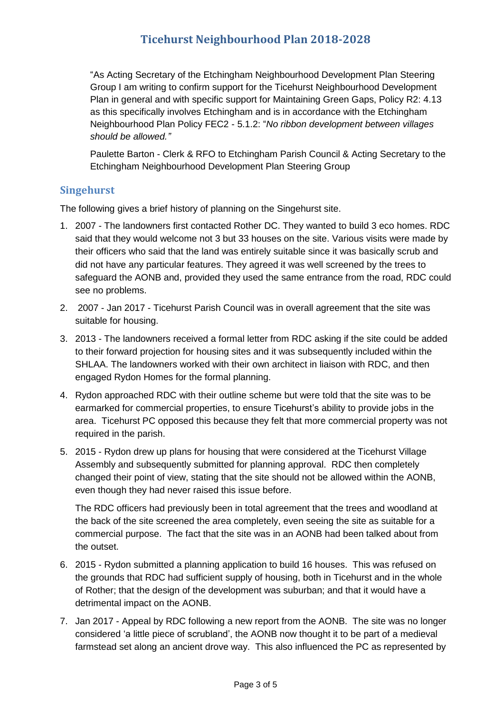# **Ticehurst Neighbourhood Plan 2018-2028**

"As Acting Secretary of the Etchingham Neighbourhood Development Plan Steering Group I am writing to confirm support for the Ticehurst Neighbourhood Development Plan in general and with specific support for Maintaining Green Gaps, Policy R2: 4.13 as this specifically involves Etchingham and is in accordance with the Etchingham Neighbourhood Plan Policy FEC2 - 5.1.2: "*No ribbon development between villages should be allowed."*

Paulette Barton - Clerk & RFO to Etchingham Parish Council & Acting Secretary to the Etchingham Neighbourhood Development Plan Steering Group

#### **Singehurst**

The following gives a brief history of planning on the Singehurst site.

- 1. 2007 The landowners first contacted Rother DC. They wanted to build 3 eco homes. RDC said that they would welcome not 3 but 33 houses on the site. Various visits were made by their officers who said that the land was entirely suitable since it was basically scrub and did not have any particular features. They agreed it was well screened by the trees to safeguard the AONB and, provided they used the same entrance from the road, RDC could see no problems.
- 2. 2007 Jan 2017 Ticehurst Parish Council was in overall agreement that the site was suitable for housing.
- 3. 2013 The landowners received a formal letter from RDC asking if the site could be added to their forward projection for housing sites and it was subsequently included within the SHLAA. The landowners worked with their own architect in liaison with RDC, and then engaged Rydon Homes for the formal planning.
- 4. Rydon approached RDC with their outline scheme but were told that the site was to be earmarked for commercial properties, to ensure Ticehurst's ability to provide jobs in the area. Ticehurst PC opposed this because they felt that more commercial property was not required in the parish.
- 5. 2015 Rydon drew up plans for housing that were considered at the Ticehurst Village Assembly and subsequently submitted for planning approval. RDC then completely changed their point of view, stating that the site should not be allowed within the AONB, even though they had never raised this issue before.

The RDC officers had previously been in total agreement that the trees and woodland at the back of the site screened the area completely, even seeing the site as suitable for a commercial purpose. The fact that the site was in an AONB had been talked about from the outset.

- 6. 2015 Rydon submitted a planning application to build 16 houses. This was refused on the grounds that RDC had sufficient supply of housing, both in Ticehurst and in the whole of Rother; that the design of the development was suburban; and that it would have a detrimental impact on the AONB.
- 7. Jan 2017 Appeal by RDC following a new report from the AONB. The site was no longer considered 'a little piece of scrubland', the AONB now thought it to be part of a medieval farmstead set along an ancient drove way. This also influenced the PC as represented by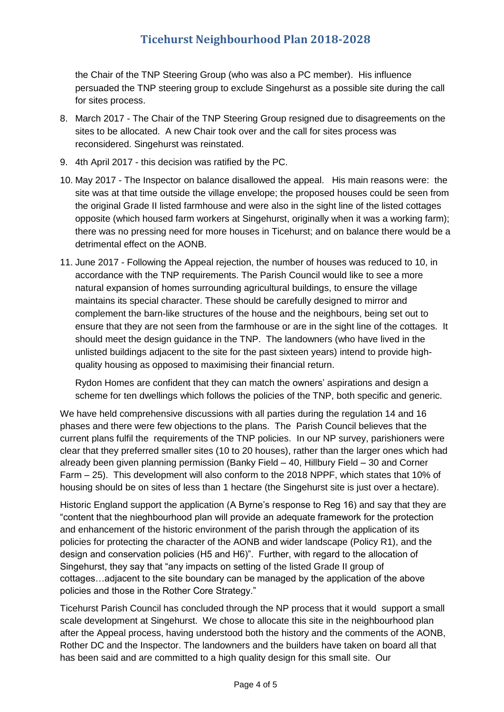# **Ticehurst Neighbourhood Plan 2018-2028**

the Chair of the TNP Steering Group (who was also a PC member). His influence persuaded the TNP steering group to exclude Singehurst as a possible site during the call for sites process.

- 8. March 2017 The Chair of the TNP Steering Group resigned due to disagreements on the sites to be allocated. A new Chair took over and the call for sites process was reconsidered. Singehurst was reinstated.
- 9. 4th April 2017 this decision was ratified by the PC.
- 10. May 2017 The Inspector on balance disallowed the appeal. His main reasons were: the site was at that time outside the village envelope; the proposed houses could be seen from the original Grade II listed farmhouse and were also in the sight line of the listed cottages opposite (which housed farm workers at Singehurst, originally when it was a working farm); there was no pressing need for more houses in Ticehurst; and on balance there would be a detrimental effect on the AONB.
- 11. June 2017 Following the Appeal rejection, the number of houses was reduced to 10, in accordance with the TNP requirements. The Parish Council would like to see a more natural expansion of homes surrounding agricultural buildings, to ensure the village maintains its special character. These should be carefully designed to mirror and complement the barn-like structures of the house and the neighbours, being set out to ensure that they are not seen from the farmhouse or are in the sight line of the cottages. It should meet the design guidance in the TNP. The landowners (who have lived in the unlisted buildings adjacent to the site for the past sixteen years) intend to provide highquality housing as opposed to maximising their financial return.

Rydon Homes are confident that they can match the owners' aspirations and design a scheme for ten dwellings which follows the policies of the TNP, both specific and generic.

We have held comprehensive discussions with all parties during the regulation 14 and 16 phases and there were few objections to the plans. The Parish Council believes that the current plans fulfil the requirements of the TNP policies. In our NP survey, parishioners were clear that they preferred smaller sites (10 to 20 houses), rather than the larger ones which had already been given planning permission (Banky Field – 40, Hillbury Field – 30 and Corner Farm – 25). This development will also conform to the 2018 NPPF, which states that 10% of housing should be on sites of less than 1 hectare (the Singehurst site is just over a hectare).

Historic England support the application (A Byrne's response to Reg 16) and say that they are "content that the nieghbourhood plan will provide an adequate framework for the protection and enhancement of the historic environment of the parish through the application of its policies for protecting the character of the AONB and wider landscape (Policy R1), and the design and conservation policies (H5 and H6)". Further, with regard to the allocation of Singehurst, they say that "any impacts on setting of the listed Grade II group of cottages…adjacent to the site boundary can be managed by the application of the above policies and those in the Rother Core Strategy."

Ticehurst Parish Council has concluded through the NP process that it would support a small scale development at Singehurst. We chose to allocate this site in the neighbourhood plan after the Appeal process, having understood both the history and the comments of the AONB, Rother DC and the Inspector. The landowners and the builders have taken on board all that has been said and are committed to a high quality design for this small site. Our